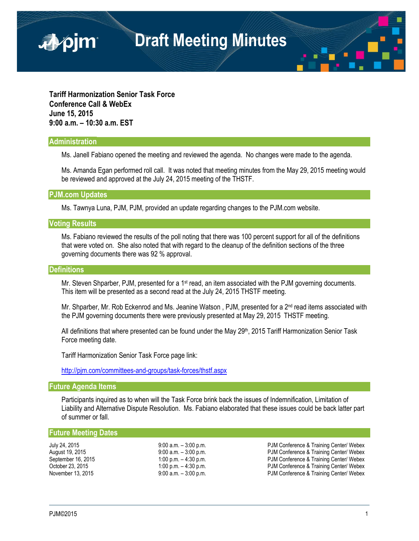

**Tariff Harmonization Senior Task Force Conference Call & WebEx June 15, 2015 9:00 a.m. – 10:30 a.m. EST**

## **Administration**

■pjm

Ms. Janell Fabiano opened the meeting and reviewed the agenda. No changes were made to the agenda.

Ms. Amanda Egan performed roll call. It was noted that meeting minutes from the May 29, 2015 meeting would be reviewed and approved at the July 24, 2015 meeting of the THSTF.

**PJM.com Updates**

Ms. Tawnya Luna, PJM, PJM, provided an update regarding changes to the PJM.com website.

## **Voting Results**

Ms. Fabiano reviewed the results of the poll noting that there was 100 percent support for all of the definitions that were voted on. She also noted that with regard to the cleanup of the definition sections of the three governing documents there was 92 % approval.

#### **Definitions**

Mr. Steven Shparber, PJM, presented for a 1<sup>st</sup> read, an item associated with the PJM governing documents. This item will be presented as a second read at the July 24, 2015 THSTF meeting.

Mr. Shparber, Mr. Rob Eckenrod and Ms. Jeanine Watson, PJM, presented for a  $2<sup>nd</sup>$  read items associated with the PJM governing documents there were previously presented at May 29, 2015 THSTF meeting.

All definitions that where presented can be found under the May 29<sup>th</sup>, 2015 Tariff Harmonization Senior Task Force meeting date.

Tariff Harmonization Senior Task Force page link:

<http://pjm.com/committees-and-groups/task-forces/thstf.aspx>

# **Future Agenda Items**

Participants inquired as to when will the Task Force brink back the issues of Indemnification, Limitation of Liability and Alternative Dispute Resolution. Ms. Fabiano elaborated that these issues could be back latter part of summer or fall.

## **Future Meeting Dates**

July 24, 2015 9:00 a.m. – 3:00 p.m. PJM Conference & Training Center/ Webex August 19, 2015 **19, 2016** 9:00 a.m. – 3:00 p.m. PUM Conference & Training Center/ Webex<br>
9:00 p.m. – 4:30 p.m. Pum Conference & Training Center/ Webex September 16, 2015 <br>
October 23, 2015 **1:00 p.m.** – 4:30 p.m. **PJM Conference & Training Center/ Webex**<br>
PJM Conference & Training Center/ Webex 1:00 p.m. – 4:30 p.m.<br>
9:00 a.m. – 3:00 p.m. PJM Conference & Training Center/ Webex November 13, 2015 9:00 a.m. – 3:00 p.m. PJM Conference & Training Center/ Webex